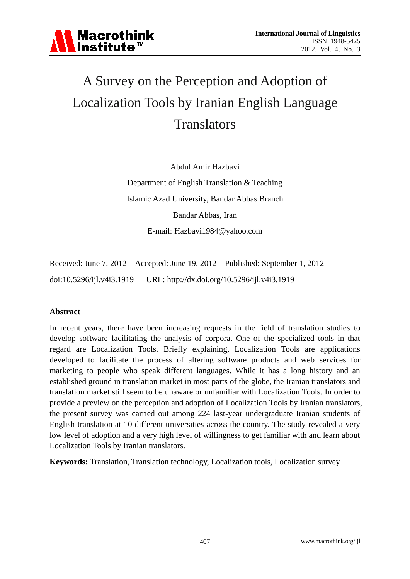# A Survey on the Perception and Adoption of Localization Tools by Iranian English Language **Translators**

Abdul Amir Hazbavi Department of English Translation & Teaching Islamic Azad University, Bandar Abbas Branch Bandar Abbas, Iran E-mail: Hazbavi1984@yahoo.com

Received: June 7, 2012 Accepted: June 19, 2012 Published: September 1, 2012 doi:10.5296/ijl.v4i3.1919 URL: http://dx.doi.org/10.5296/ijl.v4i3.1919

# **Abstract**

In recent years, there have been increasing requests in the field of translation studies to develop software facilitating the analysis of corpora. One of the specialized tools in that regard are Localization Tools. Briefly explaining, Localization Tools are applications developed to facilitate the process of altering software products and web services for marketing to people who speak different languages. While it has a long history and an established ground in translation market in most parts of the globe, the Iranian translators and translation market still seem to be unaware or unfamiliar with Localization Tools. In order to provide a preview on the perception and adoption of Localization Tools by Iranian translators, the present survey was carried out among 224 last-year undergraduate Iranian students of English translation at 10 different universities across the country. The study revealed a very low level of adoption and a very high level of willingness to get familiar with and learn about Localization Tools by Iranian translators.

**Keywords:** Translation, Translation technology, Localization tools, Localization survey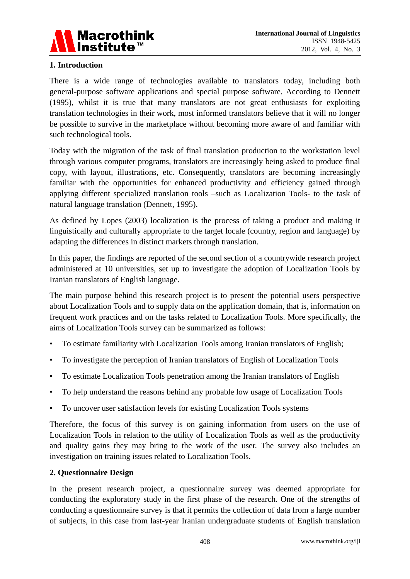

# **1. Introduction**

There is a wide range of technologies available to translators today, including both general-purpose software applications and special purpose software. According to Dennett (1995), whilst it is true that many translators are not great enthusiasts for exploiting translation technologies in their work, most informed translators believe that it will no longer be possible to survive in the marketplace without becoming more aware of and familiar with such technological tools.

Today with the migration of the task of final translation production to the workstation level through various computer programs, translators are increasingly being asked to produce final copy, with layout, illustrations, etc. Consequently, translators are becoming increasingly familiar with the opportunities for enhanced productivity and efficiency gained through applying different specialized translation tools –such as Localization Tools- to the task of natural language translation (Dennett, 1995).

As defined by Lopes (2003) localization is the process of taking a product and making it linguistically and culturally appropriate to the target locale (country, region and language) by adapting the differences in distinct markets through translation.

In this paper, the findings are reported of the second section of a countrywide research project administered at 10 universities, set up to investigate the adoption of Localization Tools by Iranian translators of English language.

The main purpose behind this research project is to present the potential users perspective about Localization Tools and to supply data on the application domain, that is, information on frequent work practices and on the tasks related to Localization Tools. More specifically, the aims of Localization Tools survey can be summarized as follows:

- To estimate familiarity with Localization Tools among Iranian translators of English;
- To investigate the perception of Iranian translators of English of Localization Tools
- To estimate Localization Tools penetration among the Iranian translators of English
- To help understand the reasons behind any probable low usage of Localization Tools
- To uncover user satisfaction levels for existing Localization Tools systems

Therefore, the focus of this survey is on gaining information from users on the use of Localization Tools in relation to the utility of Localization Tools as well as the productivity and quality gains they may bring to the work of the user. The survey also includes an investigation on training issues related to Localization Tools.

# **2. Questionnaire Design**

In the present research project, a questionnaire survey was deemed appropriate for conducting the exploratory study in the first phase of the research. One of the strengths of conducting a questionnaire survey is that it permits the collection of data from a large number of subjects, in this case from last-year Iranian undergraduate students of English translation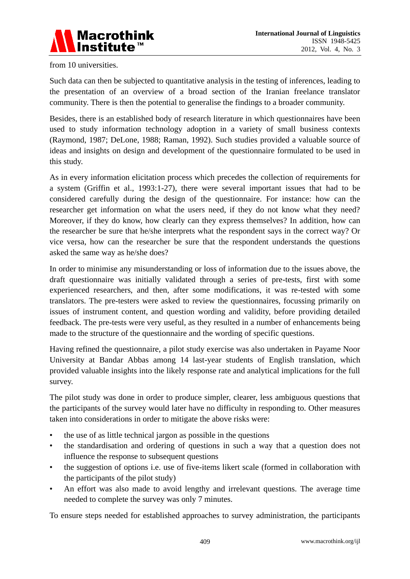

from 10 universities.

Such data can then be subjected to quantitative analysis in the testing of inferences, leading to the presentation of an overview of a broad section of the Iranian freelance translator community. There is then the potential to generalise the findings to a broader community.

Besides, there is an established body of research literature in which questionnaires have been used to study information technology adoption in a variety of small business contexts (Raymond, 1987; DeLone, 1988; Raman, 1992). Such studies provided a valuable source of ideas and insights on design and development of the questionnaire formulated to be used in this study.

As in every information elicitation process which precedes the collection of requirements for a system (Griffin et al., 1993:1-27), there were several important issues that had to be considered carefully during the design of the questionnaire. For instance: how can the researcher get information on what the users need, if they do not know what they need? Moreover, if they do know, how clearly can they express themselves? In addition, how can the researcher be sure that he/she interprets what the respondent says in the correct way? Or vice versa, how can the researcher be sure that the respondent understands the questions asked the same way as he/she does?

In order to minimise any misunderstanding or loss of information due to the issues above, the draft questionnaire was initially validated through a series of pre-tests, first with some experienced researchers, and then, after some modifications, it was re-tested with some translators. The pre-testers were asked to review the questionnaires, focussing primarily on issues of instrument content, and question wording and validity, before providing detailed feedback. The pre-tests were very useful, as they resulted in a number of enhancements being made to the structure of the questionnaire and the wording of specific questions.

Having refined the questionnaire, a pilot study exercise was also undertaken in Payame Noor University at Bandar Abbas among 14 last-year students of English translation, which provided valuable insights into the likely response rate and analytical implications for the full survey.

The pilot study was done in order to produce simpler, clearer, less ambiguous questions that the participants of the survey would later have no difficulty in responding to. Other measures taken into considerations in order to mitigate the above risks were:

- the use of as little technical jargon as possible in the questions
- the standardisation and ordering of questions in such a way that a question does not influence the response to subsequent questions
- the suggestion of options i.e. use of five-items likert scale (formed in collaboration with the participants of the pilot study)
- An effort was also made to avoid lengthy and irrelevant questions. The average time needed to complete the survey was only 7 minutes.

To ensure steps needed for established approaches to survey administration, the participants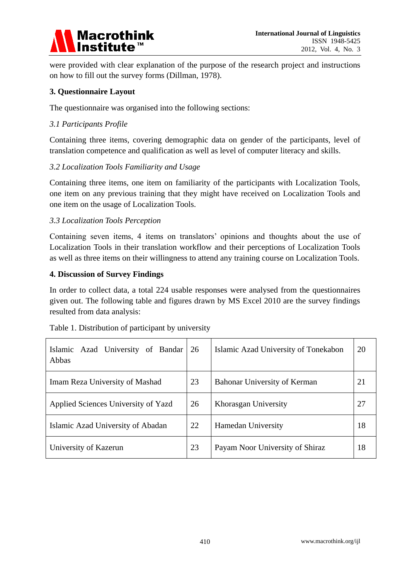

were provided with clear explanation of the purpose of the research project and instructions on how to fill out the survey forms (Dillman, 1978).

### **3. Questionnaire Layout**

The questionnaire was organised into the following sections:

## *3.1 Participants Profile*

Containing three items, covering demographic data on gender of the participants, level of translation competence and qualification as well as level of computer literacy and skills.

## *3.2 Localization Tools Familiarity and Usage*

Containing three items, one item on familiarity of the participants with Localization Tools, one item on any previous training that they might have received on Localization Tools and one item on the usage of Localization Tools.

#### *3.3 Localization Tools Perception*

Containing seven items, 4 items on translators' opinions and thoughts about the use of Localization Tools in their translation workflow and their perceptions of Localization Tools as well as three items on their willingness to attend any training course on Localization Tools.

#### **4. Discussion of Survey Findings**

In order to collect data, a total 224 usable responses were analysed from the questionnaires given out. The following table and figures drawn by MS Excel 2010 are the survey findings resulted from data analysis:

| Islamic Azad University of Bandar<br>Abbas | 26 | Islamic Azad University of Tonekabon | 20 |
|--------------------------------------------|----|--------------------------------------|----|
| Imam Reza University of Mashad             | 23 | Bahonar University of Kerman         | 21 |
| Applied Sciences University of Yazd        | 26 | Khorasgan University                 | 27 |
| Islamic Azad University of Abadan          | 22 | Hamedan University                   | 18 |
| University of Kazerun                      | 23 | Payam Noor University of Shiraz      | 18 |

Table 1. Distribution of participant by university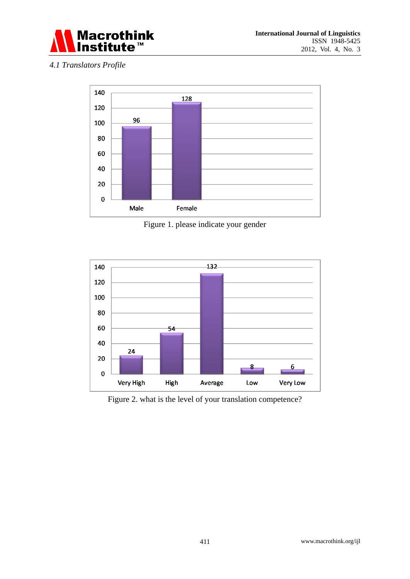

*4.1 Translators Profile*



Figure 1. please indicate your gender



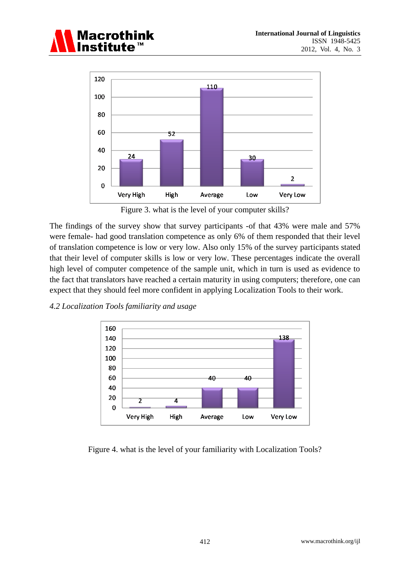



Figure 3. what is the level of your computer skills?

The findings of the survey show that survey participants -of that 43% were male and 57% were female- had good translation competence as only 6% of them responded that their level of translation competence is low or very low. Also only 15% of the survey participants stated that their level of computer skills is low or very low. These percentages indicate the overall high level of computer competence of the sample unit, which in turn is used as evidence to the fact that translators have reached a certain maturity in using computers; therefore, one can expect that they should feel more confident in applying Localization Tools to their work.

# *4.2 Localization Tools familiarity and usage*



Figure 4. what is the level of your familiarity with Localization Tools?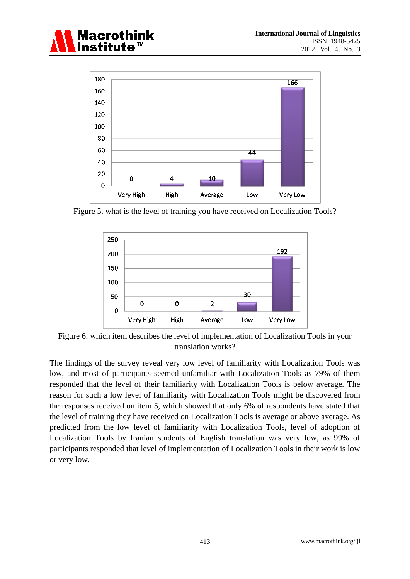



Figure 5. what is the level of training you have received on Localization Tools?



Figure 6. which item describes the level of implementation of Localization Tools in your translation works?

The findings of the survey reveal very low level of familiarity with Localization Tools was low, and most of participants seemed unfamiliar with Localization Tools as 79% of them responded that the level of their familiarity with Localization Tools is below average. The reason for such a low level of familiarity with Localization Tools might be discovered from the responses received on item 5, which showed that only 6% of respondents have stated that the level of training they have received on Localization Tools is average or above average. As predicted from the low level of familiarity with Localization Tools, level of adoption of Localization Tools by Iranian students of English translation was very low, as 99% of participants responded that level of implementation of Localization Tools in their work is low or very low.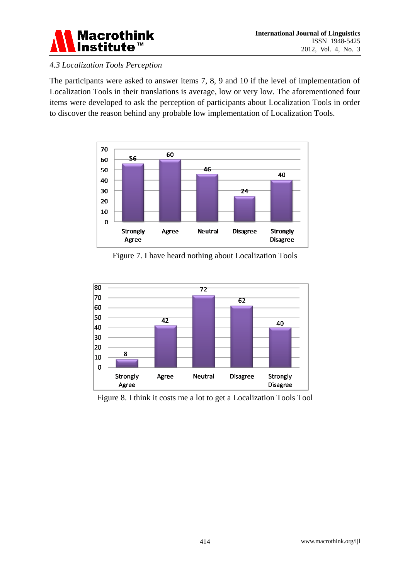

# *4.3 Localization Tools Perception*

The participants were asked to answer items 7, 8, 9 and 10 if the level of implementation of Localization Tools in their translations is average, low or very low. The aforementioned four items were developed to ask the perception of participants about Localization Tools in order to discover the reason behind any probable low implementation of Localization Tools.



Figure 7. I have heard nothing about Localization Tools



Figure 8. I think it costs me a lot to get a Localization Tools Tool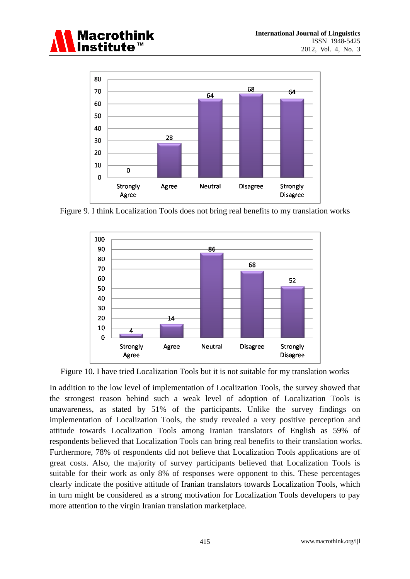



Figure 9. I think Localization Tools does not bring real benefits to my translation works



Figure 10. I have tried Localization Tools but it is not suitable for my translation works

In addition to the low level of implementation of Localization Tools, the survey showed that the strongest reason behind such a weak level of adoption of Localization Tools is unawareness, as stated by 51% of the participants. Unlike the survey findings on implementation of Localization Tools, the study revealed a very positive perception and attitude towards Localization Tools among Iranian translators of English as 59% of respondents believed that Localization Tools can bring real benefits to their translation works. Furthermore, 78% of respondents did not believe that Localization Tools applications are of great costs. Also, the majority of survey participants believed that Localization Tools is suitable for their work as only 8% of responses were opponent to this. These percentages clearly indicate the positive attitude of Iranian translators towards Localization Tools, which in turn might be considered as a strong motivation for Localization Tools developers to pay more attention to the virgin Iranian translation marketplace.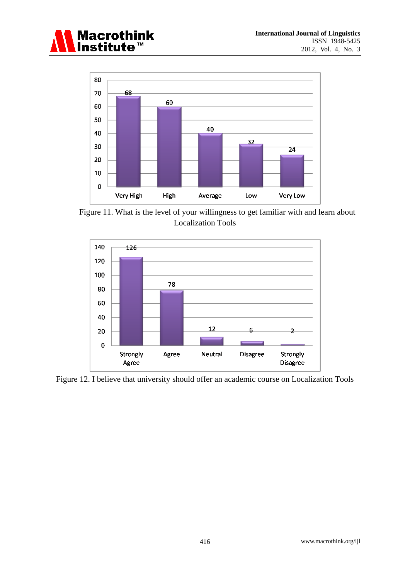



Figure 11. What is the level of your willingness to get familiar with and learn about Localization Tools



Figure 12. I believe that university should offer an academic course on Localization Tools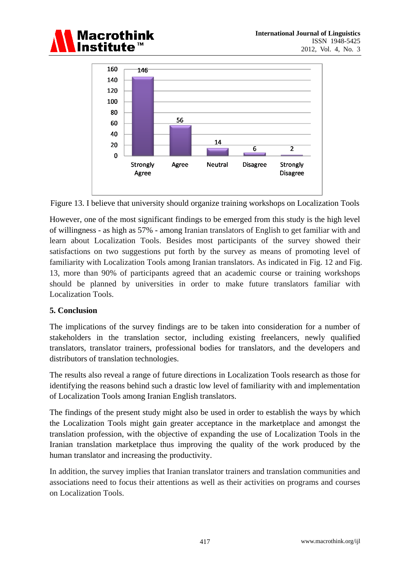





Figure 13. I believe that university should organize training workshops on Localization Tools

However, one of the most significant findings to be emerged from this study is the high level of willingness - as high as 57% - among Iranian translators of English to get familiar with and learn about Localization Tools. Besides most participants of the survey showed their satisfactions on two suggestions put forth by the survey as means of promoting level of familiarity with Localization Tools among Iranian translators. As indicated in Fig. 12 and Fig. 13, more than 90% of participants agreed that an academic course or training workshops should be planned by universities in order to make future translators familiar with Localization Tools.

# **5. Conclusion**

The implications of the survey findings are to be taken into consideration for a number of stakeholders in the translation sector, including existing freelancers, newly qualified translators, translator trainers, professional bodies for translators, and the developers and distributors of translation technologies.

The results also reveal a range of future directions in Localization Tools research as those for identifying the reasons behind such a drastic low level of familiarity with and implementation of Localization Tools among Iranian English translators.

The findings of the present study might also be used in order to establish the ways by which the Localization Tools might gain greater acceptance in the marketplace and amongst the translation profession, with the objective of expanding the use of Localization Tools in the Iranian translation marketplace thus improving the quality of the work produced by the human translator and increasing the productivity.

In addition, the survey implies that Iranian translator trainers and translation communities and associations need to focus their attentions as well as their activities on programs and courses on Localization Tools.